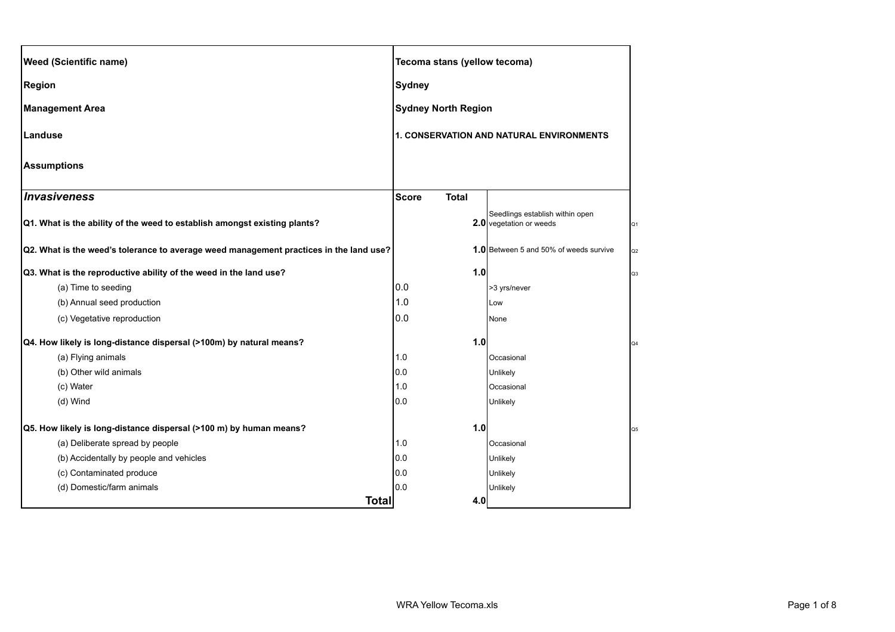| <b>Weed (Scientific name)</b>                                                          | Tecoma stans (yellow tecoma)             |                                                            |  |
|----------------------------------------------------------------------------------------|------------------------------------------|------------------------------------------------------------|--|
| <b>Region</b>                                                                          | <b>Sydney</b>                            |                                                            |  |
|                                                                                        |                                          |                                                            |  |
| <b>Management Area</b>                                                                 | <b>Sydney North Region</b>               |                                                            |  |
| Landuse                                                                                | 1. CONSERVATION AND NATURAL ENVIRONMENTS |                                                            |  |
| <b>Assumptions</b>                                                                     |                                          |                                                            |  |
| Invasiveness                                                                           | <b>Score</b><br><b>Total</b>             |                                                            |  |
| Q1. What is the ability of the weed to establish amongst existing plants?              |                                          | Seedlings establish within open<br>2.0 vegetation or weeds |  |
| Q2. What is the weed's tolerance to average weed management practices in the land use? |                                          | 1.0 Between 5 and 50% of weeds survive                     |  |
| Q3. What is the reproductive ability of the weed in the land use?                      | 1.0                                      |                                                            |  |
| (a) Time to seeding                                                                    | 0.0                                      | >3 yrs/never                                               |  |
| (b) Annual seed production                                                             | 1.0                                      | Low                                                        |  |
| (c) Vegetative reproduction                                                            | 0.0                                      | None                                                       |  |
| Q4. How likely is long-distance dispersal (>100m) by natural means?                    | 1.0                                      |                                                            |  |
| (a) Flying animals                                                                     | 1.0                                      | Occasional                                                 |  |
| (b) Other wild animals                                                                 | 0.0                                      | Unlikely                                                   |  |
| (c) Water                                                                              | 1.0                                      | Occasional                                                 |  |
| (d) Wind                                                                               | 0.0                                      | Unlikely                                                   |  |
| Q5. How likely is long-distance dispersal (>100 m) by human means?                     | 1.0                                      |                                                            |  |
| (a) Deliberate spread by people                                                        | 1.0                                      | Occasional                                                 |  |
| (b) Accidentally by people and vehicles                                                | 0.0                                      | Unlikely                                                   |  |
| (c) Contaminated produce                                                               | 0.0                                      | Unlikely                                                   |  |
| (d) Domestic/farm animals                                                              | 0.0                                      | Unlikely                                                   |  |
| <b>Total</b>                                                                           | 4.0                                      |                                                            |  |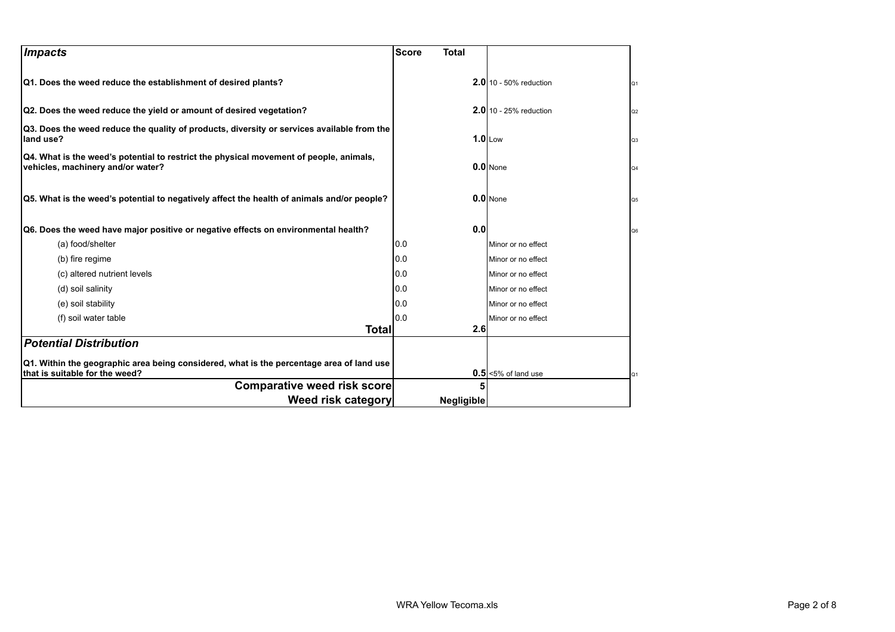| <i><b>Impacts</b></i>                                                                                                       | <b>Score</b><br><b>Total</b> |                                |
|-----------------------------------------------------------------------------------------------------------------------------|------------------------------|--------------------------------|
| Q1. Does the weed reduce the establishment of desired plants?                                                               |                              | 2.0 10 - 50% reduction<br>Q1   |
| Q2. Does the weed reduce the yield or amount of desired vegetation?                                                         |                              | $2.0$ 10 - 25% reduction<br>Q2 |
| Q3. Does the weed reduce the quality of products, diversity or services available from the<br>land use?                     |                              | $1.0$ Low<br>Q3                |
| Q4. What is the weed's potential to restrict the physical movement of people, animals,<br>vehicles, machinery and/or water? |                              | $0.0$ None<br>Q4               |
| Q5. What is the weed's potential to negatively affect the health of animals and/or people?                                  |                              | $0.0$ None<br>Q <sub>5</sub>   |
| Q6. Does the weed have major positive or negative effects on environmental health?                                          | 0.0                          | Q6                             |
| (a) food/shelter                                                                                                            | 0.0                          | Minor or no effect             |
| (b) fire regime                                                                                                             | 0.0                          | Minor or no effect             |
| (c) altered nutrient levels                                                                                                 | 0.0                          | Minor or no effect             |
| (d) soil salinity                                                                                                           | 0.0                          | Minor or no effect             |
| (e) soil stability                                                                                                          | 0.0                          | Minor or no effect             |
| (f) soil water table                                                                                                        | 0.0                          | Minor or no effect             |
| <b>Total</b>                                                                                                                | 2.6                          |                                |
| <b>Potential Distribution</b>                                                                                               |                              |                                |
| Q1. Within the geographic area being considered, what is the percentage area of land use<br>that is suitable for the weed?  |                              | $0.5$ <5% of land use<br>Q1    |
| <b>Comparative weed risk score</b>                                                                                          |                              |                                |
| Weed risk category                                                                                                          | <b>Negligible</b>            |                                |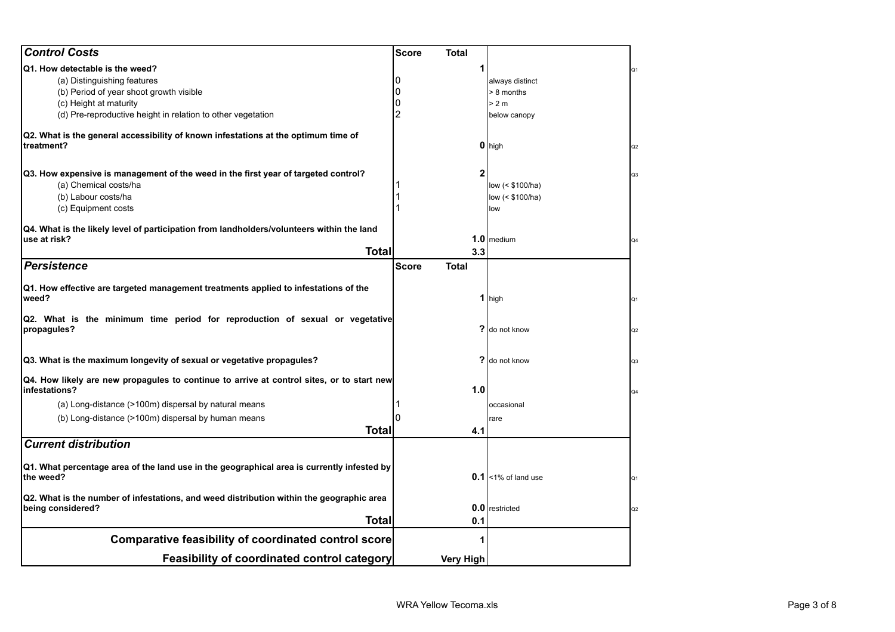| <b>Control Costs</b>                                                                                       | <b>Score</b><br>Total        |                       |    |
|------------------------------------------------------------------------------------------------------------|------------------------------|-----------------------|----|
| Q1. How detectable is the weed?                                                                            |                              |                       | Q1 |
| (a) Distinguishing features                                                                                |                              | always distinct       |    |
| (b) Period of year shoot growth visible                                                                    |                              | > 8 months            |    |
| (c) Height at maturity                                                                                     |                              | > 2 m                 |    |
| (d) Pre-reproductive height in relation to other vegetation                                                | 2                            | below canopy          |    |
| Q2. What is the general accessibility of known infestations at the optimum time of<br>treatment?           |                              | 0 high                | Q2 |
| Q3. How expensive is management of the weed in the first year of targeted control?                         | 2                            |                       | Q3 |
| (a) Chemical costs/ha                                                                                      |                              | low (< \$100/ha)      |    |
| (b) Labour costs/ha                                                                                        |                              | low (< \$100/ha)      |    |
| (c) Equipment costs                                                                                        |                              | low                   |    |
|                                                                                                            |                              |                       |    |
| Q4. What is the likely level of participation from landholders/volunteers within the land                  |                              |                       |    |
| use at risk?                                                                                               |                              | 1.0 medium            | Q4 |
| Total                                                                                                      | 3.3                          |                       |    |
| <b>Persistence</b>                                                                                         | <b>Score</b><br><b>Total</b> |                       |    |
| Q1. How effective are targeted management treatments applied to infestations of the<br>weed?               |                              | 1 high                | Q1 |
| Q2. What is the minimum time period for reproduction of sexual or vegetative<br>propagules?                |                              | ? do not know         | Q2 |
| Q3. What is the maximum longevity of sexual or vegetative propagules?                                      |                              | ? do not know         | Q3 |
| Q4. How likely are new propagules to continue to arrive at control sites, or to start new<br>infestations? | 1.0                          |                       | Q4 |
| (a) Long-distance (>100m) dispersal by natural means                                                       |                              | occasional            |    |
| (b) Long-distance (>100m) dispersal by human means                                                         | U                            | rare                  |    |
| <b>Total</b>                                                                                               | 4.1                          |                       |    |
| <b>Current distribution</b>                                                                                |                              |                       |    |
| Q1. What percentage area of the land use in the geographical area is currently infested by<br>the weed?    |                              | $0.1$ <1% of land use | Q1 |
| Q2. What is the number of infestations, and weed distribution within the geographic area                   |                              |                       |    |
| being considered?                                                                                          |                              | 0.0 restricted        | Q2 |
| Total                                                                                                      | 0.1                          |                       |    |
| <b>Comparative feasibility of coordinated control score</b>                                                |                              |                       |    |
| Feasibility of coordinated control category                                                                | <b>Very High</b>             |                       |    |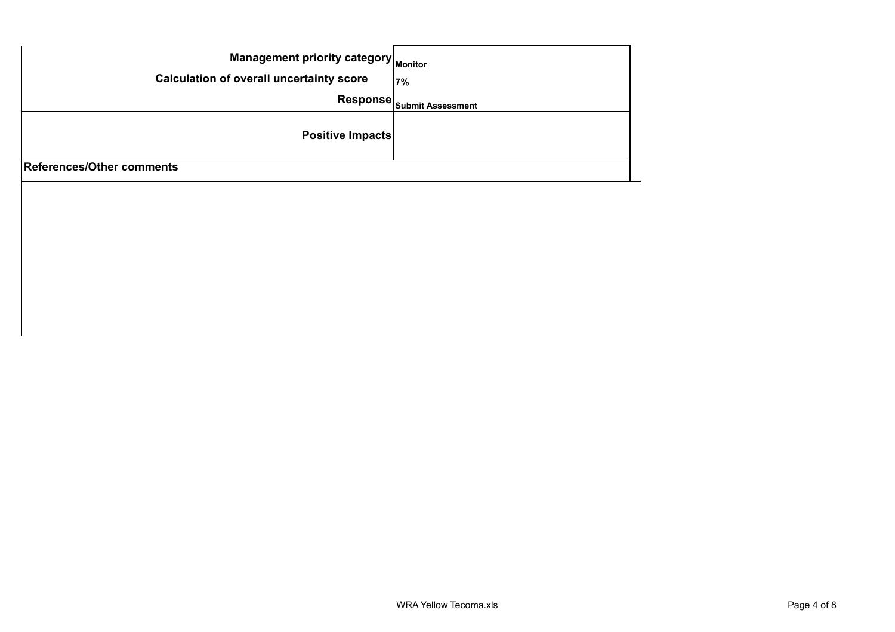| Management priority category Monitor<br><b>Calculation of overall uncertainty score</b> | 7%                                           |
|-----------------------------------------------------------------------------------------|----------------------------------------------|
|                                                                                         | Response $ _{\mathsf{Submit \, Assessment}}$ |
| <b>Positive Impacts</b>                                                                 |                                              |
| <b>References/Other comments</b>                                                        |                                              |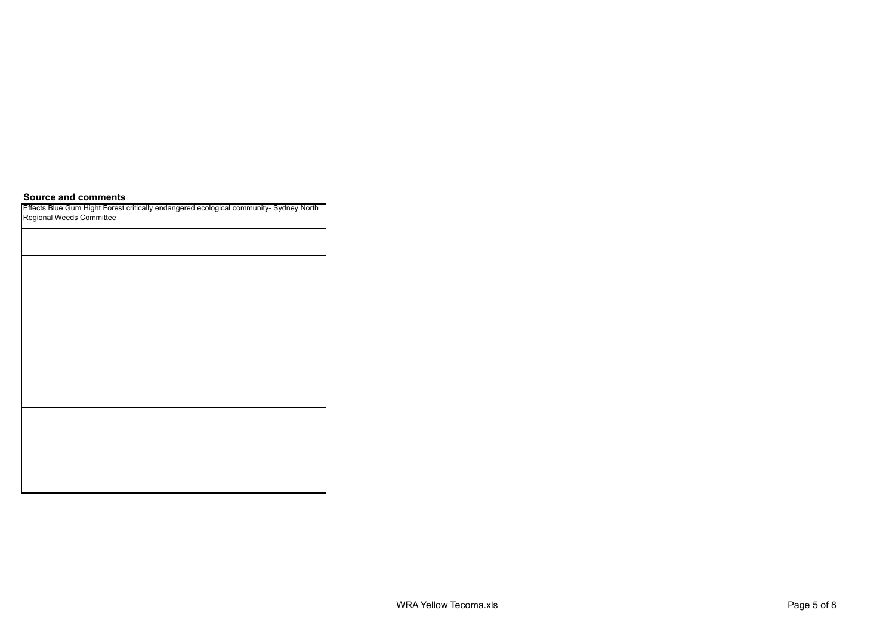**Source and comments**

Effects Blue Gum Hight Forest critically endangered ecological community- Sydney North Regional Weeds Committee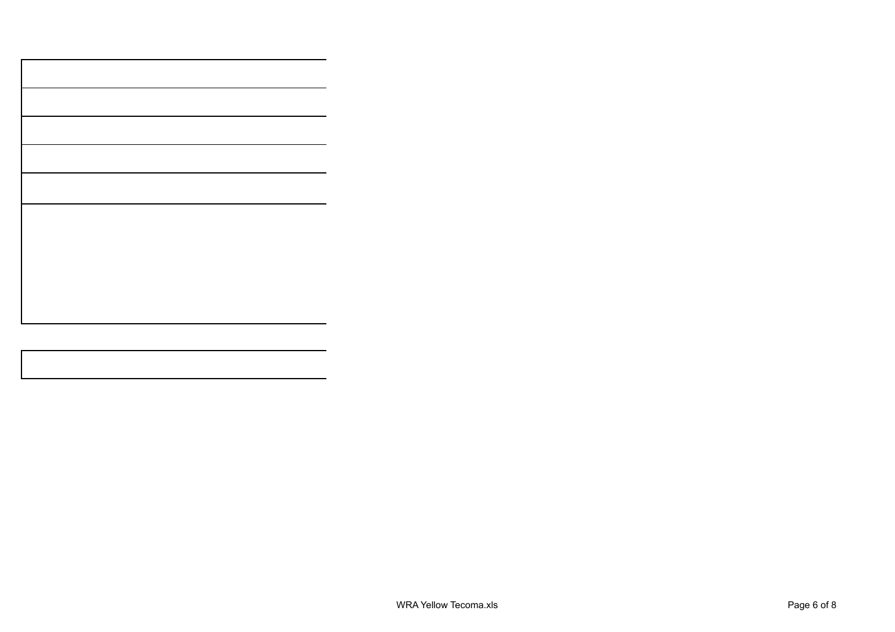